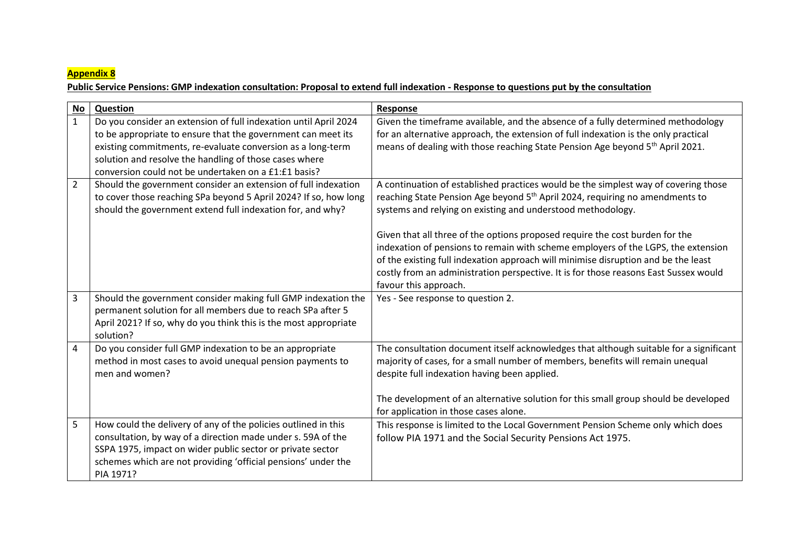## **Appendix 8**

## **Public Service Pensions: GMP indexation consultation: Proposal to extend full indexation - Response to questions put by the consultation**

| <b>No</b>      | Question                                                         | <b>Response</b>                                                                           |
|----------------|------------------------------------------------------------------|-------------------------------------------------------------------------------------------|
| $\mathbf{1}$   | Do you consider an extension of full indexation until April 2024 | Given the timeframe available, and the absence of a fully determined methodology          |
|                | to be appropriate to ensure that the government can meet its     | for an alternative approach, the extension of full indexation is the only practical       |
|                | existing commitments, re-evaluate conversion as a long-term      | means of dealing with those reaching State Pension Age beyond 5 <sup>th</sup> April 2021. |
|                | solution and resolve the handling of those cases where           |                                                                                           |
|                | conversion could not be undertaken on a £1:£1 basis?             |                                                                                           |
| $\overline{2}$ | Should the government consider an extension of full indexation   | A continuation of established practices would be the simplest way of covering those       |
|                | to cover those reaching SPa beyond 5 April 2024? If so, how long | reaching State Pension Age beyond 5 <sup>th</sup> April 2024, requiring no amendments to  |
|                | should the government extend full indexation for, and why?       | systems and relying on existing and understood methodology.                               |
|                |                                                                  |                                                                                           |
|                |                                                                  | Given that all three of the options proposed require the cost burden for the              |
|                |                                                                  | indexation of pensions to remain with scheme employers of the LGPS, the extension         |
|                |                                                                  | of the existing full indexation approach will minimise disruption and be the least        |
|                |                                                                  | costly from an administration perspective. It is for those reasons East Sussex would      |
|                |                                                                  | favour this approach.                                                                     |
| 3              | Should the government consider making full GMP indexation the    | Yes - See response to question 2.                                                         |
|                | permanent solution for all members due to reach SPa after 5      |                                                                                           |
|                | April 2021? If so, why do you think this is the most appropriate |                                                                                           |
|                | solution?                                                        |                                                                                           |
| 4              | Do you consider full GMP indexation to be an appropriate         | The consultation document itself acknowledges that although suitable for a significant    |
|                | method in most cases to avoid unequal pension payments to        | majority of cases, for a small number of members, benefits will remain unequal            |
|                | men and women?                                                   | despite full indexation having been applied.                                              |
|                |                                                                  |                                                                                           |
|                |                                                                  | The development of an alternative solution for this small group should be developed       |
|                |                                                                  | for application in those cases alone.                                                     |
| 5              | How could the delivery of any of the policies outlined in this   | This response is limited to the Local Government Pension Scheme only which does           |
|                | consultation, by way of a direction made under s. 59A of the     | follow PIA 1971 and the Social Security Pensions Act 1975.                                |
|                | SSPA 1975, impact on wider public sector or private sector       |                                                                                           |
|                | schemes which are not providing 'official pensions' under the    |                                                                                           |
|                | PIA 1971?                                                        |                                                                                           |